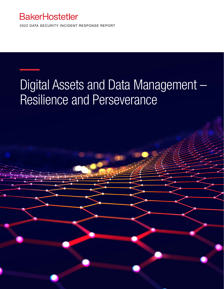### **BakerHostetler**

2022 DATA SECURITY INCIDENT RESPONSE REPORT

# Digital Assets and Data Management – Resilience and Perseverance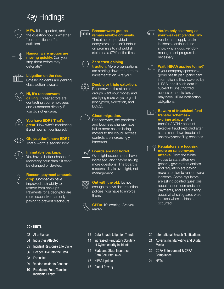### Key Findings



MFA. It is expected, and the question now is whether "push notification" is sufficient.

Ransomware groups are moving quickly. Can you stop them before they detonate?



#### Litigation on the rise. Smaller incidents are yielding

class action lawsuits.



### $\Im$  Hi, it's ransomware calling. Threat actors are

contacting your employees and customers directly if you do not engage.



### You have EDR? That's

great. Now who's monitoring it and how is it configured?

 Oh, you don't have EDR? That's worth a second look.



### Immutable backups.

You have a better chance of recovering your data if it can't be changed or deleted.



#### Ransom payment amounts

drop. Companies have improved their ability to restore from backups. Payments for a decryptor are more expensive than only paying to prevent disclosure.

#### **CONTENTS**

- 02 At a Glance
- 04 Industries Affected
- 05 Incident Response Life Cycle
- 06 Deeper Dive into the Data
- 08 Forensics
- 09 Vendor Incidents Continue
- 10 Fraudulent Fund Transfer Incidents Persist



#### Ransomware groups<br>Reconnection and reliable existing remain reliable criminals.

Threat actors provided decryptors and didn't default on promises to not publish stolen data 97% of the time.



#### Zero trust gaining

traction. More organizations are starting down the path to implementation. Are you?

### **Double or triple extortion.**<br> **Bansomware threat actor**

Ransomware threat actor groups want your money and are trying more ways to get it (encryption, exfiltration, and DDoS).

#### Cloud migration.



Ransomware, the pandemic, and business change have led to more assets being moved to the cloud. Access controls are increasingly important.

#### Boards are not bored.

Oversight expectations have increased, and they're asking more questions. The board's responsibility is oversight, not management.



#### **Out with the old. It's not**

enough to have data retention policies; you have to enforce them.



**CPRA.** It's coming. Are you ready?



### $\sigma$  You're only as strong as

your weakest (vendor) link. Vendor and supply-chain incidents continued and show why a good vendormanagement program is necessary.



### **THE Wait, HIPAA applies to me?**

If your company sponsors a group health plan, participant information is likely covered by HIPAA, and if such data is subject to unauthorized access or acquisition, you may have HIPAA notification obligations.



#### $\sqrt{\frac{1}{\sqrt{2}}}$  Beware of fraudulent fund transfer schemes –

e-crime adapts. Wire transfer / ACH / account takeover fraud exploded after states shut down fraudulent unemployment filing schemes.



#### $\overline{\bigtriangledown}$  Regulators are focusing more on ransomware

attacks. From the White House to state attorneys general, government entities and regulators are paying more attention to ransomware incidents. Some regulators are asking pointed questions about ransom demands and payments, and all are asking about what safeguards were in place when incidents occurred.

- 12 Data Breach Litigation Trends
- 14 Increased Regulatory Scrutiny of Cybersecurity Incidents
- 15 State and State Insurance Data Security Laws
- 16 HIPAA Update
- 18 Global Privacy
- 20 International Breach Notifications
- 21 Advertising, Marketing and Digital Media
- 22 CCPA Enforcement & CPRA **Compliance**
- 24 NFTs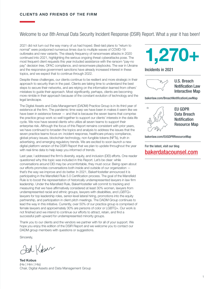#### Welcome to our 8th Annual Data Security Incident Response (DSIR) Report. What a year it has been!

2021 did not turn out the way many of us had hoped. Best-laid plans to "return to normal" were postponed numerous times due to multiple waves of COVID-19 outbreaks and new variants. The steady frequency of ransomware attacks in 2020 continued into 2021, highlighting the serious ongoing threat cyberattacks pose. The most frequent client requests this year included assistance with the ransom "pay-no pay" decision tree, OFAC compliance, and ransomware playbooks. The war in Ukraine and the responsive government sanctions have already increased interest in these topics, and we expect that to continue through 2022.

Despite these challenges, our clients continue to be resilient and more strategic in their approach to security than in the past. Clients are taking time to understand the best steps to secure their networks, and are relying on the information learned from others' mistakes to guide their approach. Most significantly, perhaps, clients are becoming more nimble in their approach because of the constant evolution of technology and the legal landscape.

The Digital Assets and Data Management (DADM) Practice Group is in its third year of existence at the firm. The pandemic time warp we have been in makes it seem like we have been in existence forever — and that is because the seven teams that comprise the practice group work so well together to support our clients' interests in the data life cycle. We now have several clients who utilize all seven teams to support their enterprise risk. Although the focus of this Report remains consistent with prior years, we have continued to broaden the topics and analysis to address the issues that the seven practice teams focus on: incident response, healthcare privacy compliance, global privacy issues, blockchain technology, non-fungible tokens (NFTs), truth in advertising, and emerging regulatory trends. We are excited to soon launch a new digital platform version of the DSIR Report that we plan to update throughout the year with real-time data to help keep you informed of trends.

Last year, I addressed the firm's diversity, equity, and inclusion (DEI) efforts. One reader questioned why this topic was included in this Report. Let's be clear: while conversations around DEI may be uncomfortable, they must occur. Being open about our efforts promotes conversations both inside and outside of our organization that's the way we improve and do better. In 2021, BakerHostetler announced it is participating in the Mansfield Rule 5.0 Certification process. The goal of the Mansfield Rule is to boost the representation of historically underrepresented lawyers in law firm leadership. Under the Mansfield Rule, BakerHostetler will commit to tracking and measuring that we have affirmatively considered at least 30% women, lawyers from underrepresented racial and ethnic groups, lawyers with disabilities, and LGBTQ+ lawyers for top leadership roles, senior-level lateral hiring, promotions into the equity partnership, and participation in client pitch meetings. The DADM Group continues to lead the way in this initiative. Currently, over 50% of our practice group is comprised of female lawyers and approximately 30% are persons of color or LGBTQ+. Our work is not finished and we intend to continue our efforts to attract, retain, and find a successful path upward for underrepresented minority groups.

Thank you to our clients and the vendors we partner with for all of your support. We hope you enjoy this edition of the DSIR Report and we welcome you to contact our DADM group members with questions or suggestions.

Sincerely,

Jed Kobar

Ted Kobus (He | Him | His) Chair, Digital Assets and Data Management Group



Incidents in 2021



Notification Law Interactive Map

[bakerlaw.com/BreachNotificationLawMap](http://www.bakerlaw.com/BreachNotificationLawMap)



EU GDPR Data Breach **Notification** Resource Map

[bakerlaw.com/EUGDPRResourceMap](http://www.bakerlaw.com/EUGDPRResourceMap)

For the latest, visit our blog [bakerdatacounsel.com](https://www.bakerdatacounsel.com)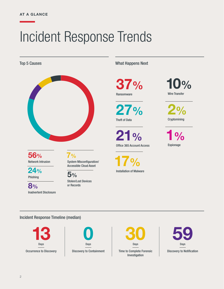# Incident Response Trends



56% Network Intrusion

 $\frac{0}{0}$ 

24% Phishing

8% Inadvertent Disclosure System Misconfiguration/ Accessible Cloud Asset

5% Stolen/Lost Devices or Records

Top 5 Causes **What Happens Next** 

37% Ransomware

27% Theft of Data

 $0/0$ Office 365 Account Access

17% Installation of Malware 10% Wire Transfer

2% **Cryptomining** 

1% Espionage

Incident Response Timeline (median)





Time to Complete Forensic | Discovery to Notification Investigation 30 Days

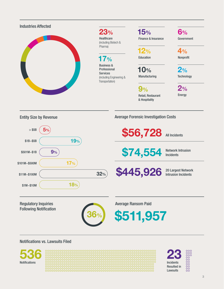

Notifications vs. Lawsuits Filed



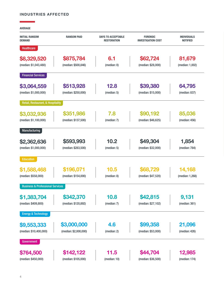#### INDUSTRIES AFFECTED

AVERAGE

۳

| <b>INITIAL RANSOM</b><br><b>DEMAND</b>      | <b>RANSOM PAID</b>    | <b>DAYS TO ACCEPTABLE</b><br><b>RESTORATION</b> | <b>FORENSIC</b><br><b>INVESTIGATION COST</b> | <b>INDIVIDUALS</b><br><b>NOTIFIED</b> |
|---------------------------------------------|-----------------------|-------------------------------------------------|----------------------------------------------|---------------------------------------|
| <b>Healthcare</b>                           |                       |                                                 |                                              |                                       |
| \$8,329,520                                 | \$875,784             | 6.1                                             | \$62,724                                     | 81,679                                |
| (median: \$1,043,480)                       | (median: \$500,846)   | (median: 0)                                     | (median: \$28,000)                           | (median: 1,002)                       |
| <b>Financial Services</b>                   |                       |                                                 |                                              |                                       |
| \$3,064,559                                 | \$513,928             | 12.8                                            | \$39,380                                     | 64,795                                |
| (median: \$1,000,000)                       | (median: \$250,000)   | (median: 5)                                     | (median: \$15,000)                           | (median: 837)                         |
| Retail, Restaurant, & Hospitality           |                       |                                                 |                                              |                                       |
| \$3,032,936                                 | \$351,986             | 7.8                                             | \$90,192                                     | 85,036                                |
| (median: \$1,100,000)                       | (median: \$137,500)   | (median: 7)                                     | (median: \$46,625)                           | (median: 456)                         |
| Manufacturing                               |                       |                                                 |                                              |                                       |
| \$2,362,636                                 | \$593,993             | 10.2                                            | \$49,304                                     | 1,854                                 |
| (median: \$1,000,000)                       | (median: \$283,500)   | (median: 5)                                     | (median: \$32,000)                           | (median: 784)                         |
| Education                                   |                       |                                                 |                                              |                                       |
| \$1,588,468                                 | \$196,071             | 10.5                                            | \$68,729                                     | 14,168                                |
| (median: \$558,000)                         | (median: \$154,000)   | (median: 8)                                     | (median: \$47,520)                           | (median: 1,268)                       |
| <b>Business &amp; Professional Services</b> |                       |                                                 |                                              |                                       |
| \$1,383,704                                 | \$342,370             | 10.8                                            | \$42,815                                     | 9,131                                 |
| (median: \$409,800)                         | (median: \$120,892)   | (median: 7)                                     | (median: \$27,102)                           | (median: 361)                         |
| <b>Energy &amp; Technology</b>              |                       |                                                 |                                              |                                       |
| \$9,553,333                                 | \$3,000,000           | 4.6                                             | \$99,358                                     | 21,096                                |
| (median: \$10,400,000)                      | (median: \$2,000,000) | (median: 2)                                     | (median: \$53,000)                           | (median: 426)                         |
| Government                                  |                       |                                                 |                                              |                                       |
| \$764,500                                   | \$142,122             | 11.5                                            | \$44,704                                     | 12,985                                |
| (median: \$450,000)                         | (median: \$105,000)   | (median: 10)                                    | (median: \$36,500)                           | (median: 174)                         |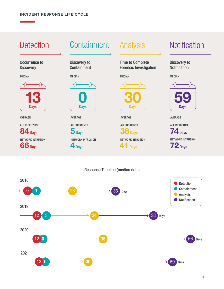

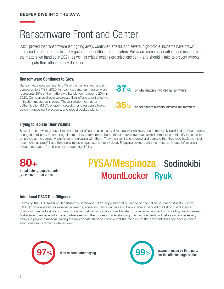## Ransomware Front and Center

2021 proved that ransomware isn't going away. Continued attacks and several high-profile incidents have drawn increased attention to the issue by government entities and regulators. Below are some observations and insights from the matters we handled in 2021, as well as critical actions organizations can – and should – take to prevent attacks and mitigate their effects if they do occur.

#### Ransomware Continues to Grow

Ransomware now represents 37% of the matters we handle, compared to 27% in 2020. In healthcare matters, ransomware represents 35% of the matters we handle, compared to 20% in 2020. Companies should accelerate their efforts to put effective mitigation measures in place. These include multi-factor authentication (MFA), endpoint detection and response tools, patch management protocols, and robust backup plans.

37% of total matters involved ransomware

of healthcare matters involved ransomware

#### Trying to Isolate Their Victims

Several ransomware groups threatened to cut off communications, delete decryption keys, and immediately publish data if companies engaged third-party ransom negotiators or law enforcement. Some threat actors have even asked companies to identify the specific employee at the company who is communicating with them. They then call the employee and demand that they read back the most recent chat as proof that a third-party ransom negotiator is not involved. Engaging advisors with the most up-to-date information about threat actors' tactics is key to avoiding pitfalls.

threat actor groups/variants (75 in 2020; 15 in 2019) 80+

## MountLocker Ryuk PYSA/Mespinoza Sodinokibi

#### Additional OFAC Due Diligence

Following the U.S. Treasury Department's September 2021 supplemental guidance on the Office of Foreign Assets Control (OFAC) considerations for ransom payments, some insurance carriers and banks have expanded the list of due diligence questions they will ask a company to answer before facilitating a wire transfer for a ransom payment or providing reimbursement. Make sure to engage with these partners early in the process. Understanding their requirements will help avoid unnecessary delays in paying a ransom. Taking the appropriate steps to confirm that the recipient of the payment does not have a known sanctions nexus remains vital as well.



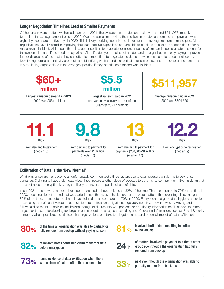#### Longer Negotiation Timelines Lead to Smaller Payments

Of the ransomware matters we helped manage in 2021, the average ransom demand paid was around \$511,957, roughly two-thirds the average amount paid in 2020. Over the same time period, the median time between demand and payment was eight days compared to five days in 2020. This is likely a driving factor in the decrease in the average ransom demand paid. More organizations have invested in improving their data backup capabilities and are able to continue at least partial operations after a ransomware incident, which puts them in a better position to negotiate for a longer period of time and reach a greater discount for the ransom demand, if the need to pay arises. Also, if a decryptor tool is not needed and an organization is only paying to prevent further disclosure of their data, they can often take more time to negotiate the demand, which can lead to a deeper discount. Developing business continuity protocols and identifying workarounds for critical business operations — prior to an incident — are key to placing organizations in the strongest position if they experience a ransomware incident.



#### Exfiltration of Data Is the 'New Normal'

What was once rare has become an unfortunately common tactic threat actors use to exert pressure on victims to pay ransom demands. Claiming to have stolen data gives threat actors another piece of leverage to obtain a ransom payment. Even a victim that does not need a decryption key might still pay to prevent the public release of data.

In our 2021 ransomware matters, threat actors claimed to have stolen data 82% of the time. This is compared to 70% of the time in 2020, a continuation of a trend that we started to see that year. In healthcare ransomware matters, the percentage is even higher: 89% of the time, threat actors claim to have stolen data as compared to 79% in 2020. Encryption and good data hygiene are critical to avoiding theft of sensitive data that could lead to notification obligations, regulatory scrutiny, or even lawsuits. Having and following data retention policies, minimizing storage of documents with personal or proprietary information on file servers (common targets for threat actors looking for large amounts of data to steal), and avoiding use of personal information, such as Social Security numbers, where possible, are all steps that organizations can take to mitigate the risk and potential impact of data exfiltration.



**80%** of the time an organization was able to partially or fully restore from backup without paying ransom



82% of ransom notes contained claim of theft of data<br>82% before encryption

 $73\%$  found evidence of data exfiltration when there  $73\%$  was a claim of data theft in the ransom note



involved theft of data resulting in notice **81** % involved theft

 $24%$ 

of matters involved a payment to a threat actor group even though the organization had fully restored from backup



paid even though the organization was able to partially restore from backups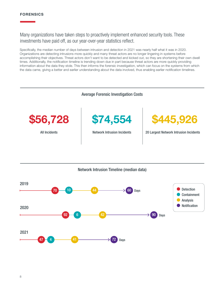#### FORENSICS

Many organizations have taken steps to proactively implement enhanced security tools. These investments have paid off, as our year-over-year statistics reflect.

Specifically, the median number of days between intrusion and detection in 2021 was nearly half what it was in 2020. Organizations are detecting intrusions more quickly and many threat actors are no longer lingering in systems before accomplishing their objectives. Threat actors don't want to be detected and kicked out, so they are shortening their own dwell times. Additionally, the notification timeline is trending down due in part because threat actors are more quickly providing information about the data they stole. This then informs the forensic investigation, which can focus on the systems from which the data came, giving a better and earlier understanding about the data involved, thus enabling earlier notification timelines.





8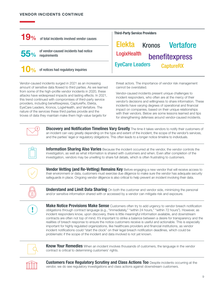۳

| <b>19%</b><br>of total incidents involved vendor causes                                                                                                                                     |                                                                                                                                                                                                                                                                                                                                                                                     | <b>Third-Party Service Providers</b><br>Elekta Kronos Vertafore                                                                                                                                                                                                                                                                                                                                                                                                                                                                                                                                                                                                                                                                                                                                                    |  |  |
|---------------------------------------------------------------------------------------------------------------------------------------------------------------------------------------------|-------------------------------------------------------------------------------------------------------------------------------------------------------------------------------------------------------------------------------------------------------------------------------------------------------------------------------------------------------------------------------------|--------------------------------------------------------------------------------------------------------------------------------------------------------------------------------------------------------------------------------------------------------------------------------------------------------------------------------------------------------------------------------------------------------------------------------------------------------------------------------------------------------------------------------------------------------------------------------------------------------------------------------------------------------------------------------------------------------------------------------------------------------------------------------------------------------------------|--|--|
| 55%                                                                                                                                                                                         | of vendor-caused incidents had notice<br>requirements                                                                                                                                                                                                                                                                                                                               | LogixHealth<br>benefitexpress                                                                                                                                                                                                                                                                                                                                                                                                                                                                                                                                                                                                                                                                                                                                                                                      |  |  |
| $\mathbf{O}_{\mathcal{C}}$                                                                                                                                                                  | of notices had regulatory inquiries                                                                                                                                                                                                                                                                                                                                                 | <b>EyeCare Leaders</b><br><b>CaptureRX</b>                                                                                                                                                                                                                                                                                                                                                                                                                                                                                                                                                                                                                                                                                                                                                                         |  |  |
| Vendor-caused incidents surged in 2021 as an increasing<br>amount of sensitive data flowed to third parties. As we learned<br>from some of the high-profile vendor incidents in 2020, these |                                                                                                                                                                                                                                                                                                                                                                                     | threat actors. The importance of vendor risk management<br>cannot be overstated.                                                                                                                                                                                                                                                                                                                                                                                                                                                                                                                                                                                                                                                                                                                                   |  |  |
|                                                                                                                                                                                             | attacks have widespread impacts and lasting effects. In 2021,<br>this trend continued with compromises of third-party service<br>providers, including benefitexpress, CaptureRx, Elekta,<br>EyeCare Leaders, Kronos, LogixHealth, and Vertafore. The<br>nature of the services these third parties provide and the<br>troves of data they maintain make them high-value targets for | Vendor-caused incidents present unique challenges to<br>incident responders, who often are at the mercy of their<br>vendor's decisions and willingness to share information. These<br>incidents have varying degrees of operational and financial<br>impact on companies, based on their unique relationships<br>with their vendors. Below are some lessons learned and tips<br>for strengthening defenses around vendor-caused incidents.                                                                                                                                                                                                                                                                                                                                                                         |  |  |
|                                                                                                                                                                                             |                                                                                                                                                                                                                                                                                                                                                                                     | <b>Discovery and Notification Timelines Vary Greatly</b> The time it takes vendors to notify their customers of<br>an incident can vary greatly depending on the type and extent of the incident, the scope of the vendor's services,<br>and the parties' legal or regulatory obligations. This often leads to a longer notice timeline to individuals.                                                                                                                                                                                                                                                                                                                                                                                                                                                            |  |  |
|                                                                                                                                                                                             |                                                                                                                                                                                                                                                                                                                                                                                     | Information Sharing Also Varies Because the incident occurred at the vendor, the vendor controls the<br>investigation, as well as what information is shared with customers and when. Even after completion of the<br>investigation, vendors may be unwilling to share full details, which is often frustrating to customers.                                                                                                                                                                                                                                                                                                                                                                                                                                                                                      |  |  |
|                                                                                                                                                                                             |                                                                                                                                                                                                                                                                                                                                                                                     | <b>Vendor Vetting (and Re-Vetting) Remains Key</b> Before engaging a new vendor that will receive access to<br>their environment or data, customers must exercise due diligence to make sure the vendor has adequate security<br>safeguards in place. Ongoing vendor diligence is also critical to help prevent an incident involving their data.                                                                                                                                                                                                                                                                                                                                                                                                                                                                  |  |  |
|                                                                                                                                                                                             |                                                                                                                                                                                                                                                                                                                                                                                     | <b>Understand and Limit Data Sharing</b> On both the customer and vendor side, minimizing the personal<br>and/or sensitive information shared with or accessed by a vendor can mitigate risk and exposure.                                                                                                                                                                                                                                                                                                                                                                                                                                                                                                                                                                                                         |  |  |
|                                                                                                                                                                                             | problematic if the scope of the incident and data involved is not yet known.                                                                                                                                                                                                                                                                                                        | <b>Make Notice Provisions Make Sense</b> Customers often try to add urgency to vendor breach notification<br>obligations through contract language (e.g., "immediately," "within 24 hours," "within 72 hours"). However, as<br>incident responders know, upon discovery, there is little meaningful information available, and downstream<br>contracts are often not top of mind. It's important to strike a balance between a desire for transparency and the<br>realities of breach response to ensure the notice customers receive is useful and actionable. This is especially<br>important for highly regulated organizations, like healthcare providers and financial institutions, as vendor<br>incident notifications could "start the clock" on their legal breach notification deadlines, which could be |  |  |
|                                                                                                                                                                                             | contract is critical to determining customers' rights.                                                                                                                                                                                                                                                                                                                              | Know Your Remedies When an incident involves thousands of customers, the language in the vendor                                                                                                                                                                                                                                                                                                                                                                                                                                                                                                                                                                                                                                                                                                                    |  |  |



Customers Face Regulatory Scrutiny and Class Actions Too Despite incidents occurring at the vendor, we do see regulatory investigations and class actions against downstream customers.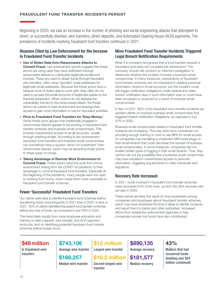Beginning in 2020, we saw an increase in the number of phishing and social engineering attacks that attempted to divert, or successfully diverted, wire transfers, direct deposits, and Automated Clearing House (ACH) payments. The prevalence of incidents involving fraudulent fund transfers continued in 2021.

#### Reasons Cited by Law Enforcement for the Increase in Fraudulent Fund Transfer Incidents

- Use of Stolen Data from Ransomware Attacks to **Commit Fraud.** Law enforcement reports suggest that threat actors are using data they have exfiltrated through ransomware attacks to manipulate legitimate emails and invoices. These are used to obtain funds through fraudulent wire transfers, often using "spoofed" email addresses for legitimate email addresses. Because the threat actors have a treasure trove of stolen data to work with, they often do not need to access the email accounts of legitimate parties to the financial transaction. When victims do not address the vulnerability that led to the ransomware attack, the threat actors can persist in their environment and leverage that access to gain more information to use for fraudulent activities.
- Pivot to Fraudulent Fund Transfers for 'Easy Money.' Some threat actor groups that traditionally engaged in ransomware attacks appear to be pivoting to fraudulent fund transfer schemes and business email compromises. This involves unauthorized access to email accounts, usually through phishing emails. According to law enforcement, fraudulent fund transfers and business email compromises can sometimes have a quicker "return on investment" than ransomware attacks, which may be attracting threat actors to these types of crimes.
- Taking Advantage of Remote Work Environment to **Commit Fraud.** Threat actors used the work-from-home environment arising from the COVID-19 pandemic to their advantage to commit fraudulent fund transfers. Especially at the beginning of the pandemic, many people were not used to working from home, which made them more vulnerable to fraudulent fund transfer schemes.

#### Fewer 'Successful' Fraudulent Fund Transfers

Our clients were able to identify fraudulent fund schemes *before* transferring funds more frequently in 2021 than in 2020. In fact, in 2021, 40% of clients identified fraudulent fund transfer schemes before any loss of funds, as compared to just 30% in 2020.

This trend likely results from more employee education and training on direct deposit, wire transfer, and ACH payment protocols, and on identifying potential fraudulent fund transfer schemes before losses occur.

#### More Fraudulent Fund Transfer Incidents Triggered Legal Breach Notification Requirements

What if a company recognizes that a fund transfer request is fraudulent and does not complete the transaction? The company should still conduct an internal investigation to determine whether the incident involved a business email compromise. In many instances, perpetrators of fraudulent fund transfer schemes are not interested in stealing personal information stored in email accounts, but the incident could still trigger notification obligations under federal and state breach notification laws if such information was or could have been accessed or acquired as a result of business email compromises.

In fact, in 2021, 60% of the fraudulent fund transfer incidents we advised clients on involved business email compromises that triggered breach notification obligations, as opposed to just 43% in 2020.

Business email compromises related to fraudulent fund transfer incidents are increasing. This may stem from companies not providing enough training on how to use MFA for email access. Or companies may be failing to implement MFA technology on their email tenants that could decrease the number of business email compromises. In some instances, companies did not enable certain types of logging in their email tenants. Thus, they cannot rule out the possibility that a business email compromise may have resulted in unauthorized access to personal information, triggering requirements to notify individuals and regulators.

#### Recovery Rate Increased

In 2021, funds involved in fraudulent fund transfer schemes were recovered 43% of the time, up from the 38% recovery rate we saw in 2020.

These trends are likely the result of more awareness among companies and employees about fraudulent transfer schemes, which may have shortened the time it takes to identify incidents and report them to banks and other authorities. Increased efforts from federal law enforcement agencies to help companies recover lost funds have also contributed.

### \$48 million

In fraudulent wire transfers

Average wire transfer \$12 million Largest wire transfer

\$166,257 Median wire transfer

\$743,106

\$10.2 million Second-largest wire transfer

\$890,135 Average recovery

\$181,577 Median recovery 43% Matters that had recovered funds (totaling over \$24 million combined)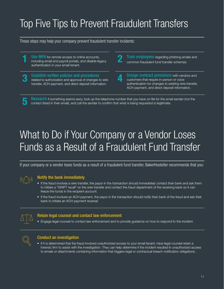## Top Five Tips to Prevent Fraudulent Transfers

These steps may help your company prevent fraudulent transfer incidents:

Use MFA for remote access to online accounts, **including email and payroll portals, and disable legacy 2** authentication in your email tenant.

Establish written policies and procedures 3 Establish written policies and procedures<br>
related to authorization and approval of changes to wire the state of the state of the state of the state of the state of the state of the state of the state of the state of the transfer, ACH payment, and direct deposit information.

**Train employees** regarding phishing emails and common fraudulent fund transfer schemes.

**Design contract provisions** with vendors and customers that require in-person or voice authentication for changes to existing wire transfer, ACH payment, and direct deposit information.

**Research** if something seems awry, look up the telephone number that you have on file for the email sender (not the contact listed in their email), and call the sender to confirm that what is being requested is legitimate.

## What to Do if Your Company or a Vendor Loses Funds as a Result of a Fraudulent Fund Transfer

If your company or a vendor loses funds as a result of a fraudulent fund transfer, BakerHostetler recommends that you:



5

#### Notify the bank immediately

- If the fraud involves a wire transfer, the payor in the transaction should *immediately* contact their bank and ask them to initiate a "SWIFT recall" on the wire transfer and contact the fraud department of the receiving bank so it can freeze the funds in the recipient account.
- If the fraud involves an ACH payment, the payor in the transaction should notify their bank of the fraud and ask their bank to initiate an ACH payment reversal.



#### Retain legal counsel and contact law enforcement

• Engage legal counsel to contact law enforcement and to provide guidance on how to respond to the incident.



#### Conduct an investigation

• If it is determined that the fraud involved unauthorized access to your email tenant, have legal counsel retain a forensic firm to assist with the investigation. They can help determine if the incident resulted in unauthorized access to emails or attachments containing information that triggers legal or contractual breach notification obligations.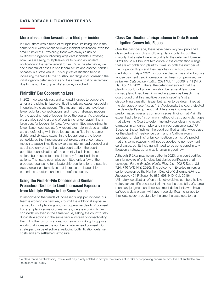#### More class action lawsuits are filed per incident

In 2021, there was a trend of multiple lawsuits being filed in the same venue within weeks following incident notification, even for smaller incidents. Previously, there was always a risk of multidistrict litigation following large data incidents. However, now we are seeing multiple lawsuits following an incident notification in the same federal forum. Or, in the alternative, we see a handful of cases in one federal forum and another handful of cases in a state venue. This duplicative litigation trend is increasing the "race to the courthouse" filings and increasing the initial litigation defense costs and the ultimate cost of settlement, due to the number of plaintiffs' attorneys involved.

#### Plaintiffs' Bar Cooperating Less

In 2021, we saw distrust and an unwillingness to cooperate among the plaintiffs' lawyers litigating privacy cases, especially in duplicative class actions. This means that there have been fewer voluntary consolidations and more challenged motions for the appointment of leadership by the courts. As a corollary, we are also seeing a trend of courts no longer appointing a large cast for leadership (e.g., fewer committee appointments, fewer liaison counsel, etc.). A recent example involved a matter we are defending with three federal cases filed in the same district and six state cases. In the federal court, the judge consolidated the three actions but rejected an uncontested motion to appoint multiple lawyers as interim lead counsel and appointed only one. In the state court action, the court permitted consolidation of the currently filed six state court actions but refused to consolidate any future-filed class actions. That state court also permitted only a few of the proposed counsel to take leadership positions for the putative class, rejecting alternatives that increase the leadership committee structure, and in turn, defense costs.

#### Using the First-to-File Doctrine and Similar Procedural Tactics to Limit Increased Exposure from Multiple Filings in the Same Venue

In response to the trends of increased filings per incident, our team is working on new ways to limit the additional exposure caused by multiple filings and uncooperative plaintiffs' counsel. For example, in some circumstances, we are working to limit consolidation even in the same venue, asking the court to stay duplicative actions in the same venue instead of consolidating them. In other circumstances, our team is working to oppose efforts that increase the number of interim lead counsel. Both strategies can be effective at reducing both litigation defense costs and any settlement exposure.

#### Class Certification Jurisprudence in Data Breach Litigation Comes into Focus

Over the past decade, there have been very few published class certification rulings following data incidents, but the majority that existed were favorable to the defense. However, 2020 and 2021 brought two critical class certification rulings that are emboldening plaintiffs' firms, in both the number of their litigation filings and their negotiation tactics during mediations. In April 2021, a court certified a class of individuals whose payment card information had been compromised. *In re Brinker Data Incident Litig.*, 2021 WL 1405508, at \*1 (M.D. Fla. Apr. 14, 2021). There, the defendant argued that the plaintiffs could not prove causation because at least one named plaintiff had been involved in a previous breach. The court found that this "multiple breach issue" is "not a disqualifying causation issue, but rather to be determined at the damages phase." *Id.* at \*12. Additionally, the court rejected the defendant's argument that differences in damages predominated over any common issues, finding that Plaintiffs' expert had offered "a common method of calculating damages that allows the Court to determine individual class members' damages in a non-complex and non-burdensome way." *Id.* Based on these findings, the court certified a nationwide class for the plaintiffs' negligence claim and a California-only subclass for plaintiffs' unfair competition claims. We predict that this same reasoning will not be applied to non-payment card cases, but its holding will need to be considered in any litigation strategy, as long as it remains good law.

Although *Brinker* may be an outlier, in 2020, one court certified an injunctive relief-only\* class but denied certification of all damages. *Fero v. Excellus Health Plan, Inc.*, 502 F. Supp. 3d 724, 746 (W.D.N.Y. 2020). The outcome in *Excellus* mirrors an earlier decision by the Northern District of California, *Adkins v. Facebook*, 424 F. Supp. 3d 686, 698 (N.D. Cal. 2019). Ultimately, certification of only injunctive claims can be a hollow victory for plaintiffs because it eliminates the possibility of a large monetary judgment and because most defendants who have suffered a data breach will have made significant changes to their data security posture by the time the case gets to trial.

<sup>\*</sup> A class that is certified for injunctive relief only is only entitled to compel the defendant to take or stop taking certain actions. It is not entitled to any monetary damages.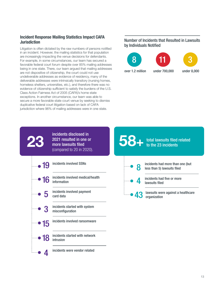#### Incident Response Mailing Statistics Impact CAFA Jurisdiction

Litigation is often dictated by the raw numbers of persons notified in an incident. However, the mailing statistics for that population are increasingly impacting the venue decisions for defendants. For example, in some circumstances, our team has secured a favorable federal court forum despite over 85% mailing addresses being in one state. There, our team argued that mailing addresses are not dispositive of citizenship, the court could not use undeliverable addresses as evidence of residency, many of the deliverable addresses were intrinsically transitory (nursing homes, homeless shelters, universities, etc.), and therefore there was no evidence of citizenship sufficient to satisfy the burdens of the U.S. Class Action Fairness Act of 2005 (CAFA)'s home state exceptions. In another circumstance, our team was able to secure a more favorable state court venue by seeking to dismiss duplicative federal court litigation based on lack of CAFA jurisdiction where 96% of mailing addresses were in one state.

incidents were vendor related

incidents started with network

4

18

intrusion

Number of Incidents that Resulted in Lawsuits by Individuals Notified







over 1.2 million under 700,000 under 8,000

|       | incidents disclosed in<br>2021 resulted in one or<br>more lawsuits filed<br>(compared to 20 in 2020). |       | <b>100</b> - total lawsuits filed related<br>to the 23 incidents |
|-------|-------------------------------------------------------------------------------------------------------|-------|------------------------------------------------------------------|
| -• 19 | incidents involved SSNs                                                                               | 8     | incidents had more than one (but<br>less than 5) lawsuits filed  |
| -• 16 | incidents involved medical/health<br>information                                                      |       | incidents had five or more<br>lawsuits filed                     |
| 5     | incidents involved payment<br>card data                                                               | -• 43 | lawsuits were against a healthcare<br>organization               |
|       | incidents started with system<br>misconfiguration                                                     |       |                                                                  |
|       | incidents involved ransomware                                                                         |       |                                                                  |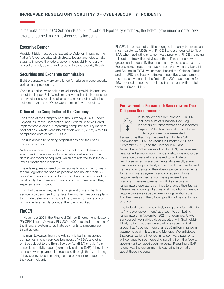In the wake of the 2020 SolarWinds and 2021 Colonial Pipeline cyberattacks, the federal government enacted new laws and focused more on cybersecurity incidents.

#### Executive Branch

President Biden issued the Executive Order on Improving the Nation's Cybersecurity, which directs federal agencies to take steps to improve the federal government's ability to identify, protect against, detect, and respond to cybersecurity threats.

#### Securities and Exchange Commission

Eight organizations were sanctioned for failures in cybersecurity policies and procedures.

Over 100 entities were asked to voluntarily provide information about the impact SolarWinds may have had on their businesses and whether any required disclosures in connection with the incident or unrelated "Other Compromises" were required.

#### Office of the Comptroller of the Currency

The Office of the Comptroller of the Currency (OCC), Federal Deposit Insurance Corporation, and Federal Reserve Board implemented a joint rule regarding computer-security incident notifications, which went into effect on April 1, 2022, with a full compliance date of May 1, 2022.

The rule applies to banking organizations and their bank service providers.

Notification requirements focus on incidents that disrupt or affect bank operations, not just situations where customer data is accessed or acquired, which are referred to in the new law as "notification incidents."

The rule requires covered organizations to notify their primary federal regulator "as soon as possible and no later than 36 hours" after an incident is discovered. Bank service providers must notify their banking organization customers when they experience an incident.

In light of the new rule, banking organizations and banking service providers need to update their incident response plans to include determining if notice to a banking organization or primary federal regulator under the rule is required.

#### **FinCEN**

In November 2021, the Financial Crimes Enforcement Network (FinCEN) issued Advisory FIN-2021-A004, related to the use of the financial system to facilitate payments to ransomware threat actors.

The main takeaway from the Advisory is banks, insurance companies, money services businesses (MSBs), and other entities subject to the Bank Secrecy Act (BSA) should file a suspicious activity report (commonly called a SAR) if they think a ransomware payment is processed through them, including if they are involved in making such a payment to respond to their own incident.

FinCEN indicates that entities engaged in money transmission must register as MSBs with FinCEN and are required to file a SAR when facilitating a ransomware payment. FinCEN is using this data to track the activities of the different ransomware groups and to quantify the ransoms they are able to extract. For example, it noted that two ransomware variants, Darkside and Sodinokibi/REvil, which were behind the Colonial Pipeline and the JBS and Kaseya attacks, respectively, were among the costliest variants in the first half of 2021, accounting for 458 reported ransomware-related transactions with a total value of \$590 million.

#### Forewarned Is Forearmed: Ransomware Due Diligence Requirements



In its November 2021 advisory, FinCEN included a list of "Financial Red Flag Indicators of Ransomware and Associated Payments" for financial institutions to use in identifying ransomware-related

transactions that might require them to file a SAR. Following the OFAC advisories in October 2020 and September 2021, and the October 2020 and November 2021 advisories from FinCEN, we have seen heightened scrutiny from financial institutions and cyber insurance carriers who are asked to facilitate or reimburse ransomware payments. As a result, some clients are now proactively working with their banks and carriers to understand their due diligence requirements for ransomware payments and considering those requirements in their ransomware preparedness planning. These requirements will likely evolve as ransomware operators continue to change their tactics. Meanwhile, knowing what financial institutions currently require can save valuable time for organizations that find themselves in the difficult position of having to pay a ransom.

The federal government is likely using this information in its "whole-of-government" approach to combating ransomware. In November 2021, for example, OFAC sanctioned two individuals associated with Sodinokibi/ REvil, noting that they were part of a cybercriminal group that "received more than \$200 million in ransom payments paid in Bitcoin and Monero." We anticipate that organizations involved in ransomware payments will continue to see increasing scrutiny from the federal government to report such incidents. Requiring a SAR is one way the government is gathering information about these incidents.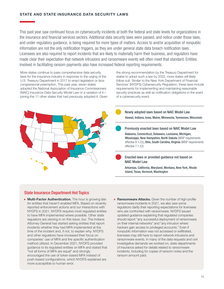#### STATE AND STATE INSURANCE DATA SECURITY LAWS

This past year saw continued focus on cybersecurity incidents at both the federal and state levels for organizations in the insurance and financial services sectors. Additional data security laws were passed, and notice under those laws, and under regulatory guidance, is being required for more types of matters. Access to and/or acquisition of nonpublic information are not the only notification triggers, as they are under general state data breach notification laws. Licensees are also required to report incidents that are likely to materially harm their business, and regulators have made clear their expectation that network intrusions and ransomware events will often meet that standard. Entities involved in facilitating ransom payments also have increased federal reporting requirements.

More states continue to pass comprehensive data security laws for the insurance industry in response to the urging of the U.S. Treasury Department in 2017 to enact legislation or face congressional preemption. This past year, seven states adopted the National Association of Insurance Commissioners (NAIC) Insurance Data Security Model Law or a variation of it joining the 11 other states that had previously adopted it. Given



the strong recommendation by the Treasury Department for states to adopt such a law by 2022, more states will likely follow suit. Similar to the New York Department of Financial Services' (NYDFS) Cybersecurity Regulation, these laws include requirements for implementing and maintaining reasonable security practices as well as notification obligations in the event of a cybersecurity event.

Newly adopted laws based on NAIC Model Law Hawaii, Indiana, Iowa, Maine, Minnesota, Tennessee, Wisconsin

Previously enacted laws based on NAIC Model Law

Alabama, Connecticut, Delaware, Louisiana, Michigan, Mississippi, New Hampshire, North Dakota (WISP requirements effective 8.1.22), Ohio, South Carolina, Virginia (WISP requirements effective 7.1.22)

Enacted laws or provided guidance not based on NAIC Model Law

Arkansas, California, Maryland, Montana, New York, Rhode Island, Texas, Vermont, Washington

#### State Insurance Department Hot Topics

- ▶ Multi-Factor Authentication. The hour is growing late for entities that haven't enabled MFA. Based on recently reported enforcement actions and our interactions with NYDFS in 2021, NYDFS requires most regulated entities to have MFA implemented where possible. Other state regulators are zeroing in on this issue, too. The Indiana Attorney General has started asking entities that report incidents whether they had MFA implemented at the time of the incident and, if not, to explain why. NYDFS and other regulators have increased their focus on companies' use of MFA and the specific authentication method utilized. In December 2021, NYDFS provided guidance to its regulated entities on MFA and stated that "not all forms of MFA are equal" and strongly encouraged the use of token-based MFA instead of push-based configurations, which NYDFS explained are more susceptible to human error.
- **Ransomware Attacks.** Given the number of high-profile ransomware incidents in 2021, we also saw some regulators clarify their reporting expectations for licensees who are confronted with ransomware. NYDFS issued updated guidance explaining that regulated companies should report "any successful deployment of ransomware on their internal networks" and "any intrusion where hackers gain access to privileged accounts." Even if nonpublic information was not accessed or exfiltrated, licensees may still have to report network intrusions and ransomware events. In many of the data requests and civil investigative demands we worked on, state departments of insurance asked for details related to ransomware incidents, including for copies of ransom notes and the ransom amount paid.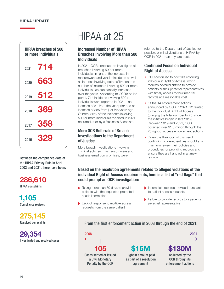#### HIPAA UPDATE



Between the compliance date of the HIPAA Privacy Rule in April 2003 and 2021, there have been:

286,610

HIPAA complaints

1,105 Compliance reviews

275,145 Resolved complaints

29,354 Investigated and resolved cases

## HIPAA at 25

#### Increased Number of HIPAA Breaches Involving More than 500 **Individuals**

In 2021, OCR continued to investigate all breaches involving 500 or more individuals. In light of the increase in ransomware and vendor incidents as well as in those involving data exfiltration, the number of incidents involving 500 or more individuals has substantially increased over the years. According to OCR's online portal, 714 incidents involving 500+ individuals were reported in 2021—an increase of 51 from the year prior and an increase of 385 from just five years ago. Of note, 35% of the incidents involving 500 or more individuals reported in 2021 occurred at or by a Business Associate.

#### More OCR Referrals of Breach Investigations to the Department of Justice

More breach investigations involving criminal acts, such as ransomware and business email compromises, were

referred to the Department of Justice for possible criminal violations of HIPAA by OCR in 2021 than in years past.

#### Continued Focus on Individual Right of Access

- OCR continued to prioritize enforcing individuals' Right of Access, which requires covered entities to provide patients or their personal representatives with timely access to their medical records at a reasonable cost.
- Of the 14 enforcement actions announced by OCR in 2021, 12 related to the individual Right of Access (bringing the total number to 25 since the initiative began in late 2019). Between 2019 and 2021, OCR obtained over \$1.5 million through the 25 right of access enforcement actions.
- Given the likelihood of this trend continuing, covered entities should at a minimum review their policies and procedures for providing records and ensure they are handled in a timely fashion.

#### Based on the resolution agreements related to alleged violations of the individual Right of Access requirements, here is a list of "red flags" that could prompt an OCR investigation:

- Taking more than 30 days to provide patients with the requested protected health information
- Lack of response to multiple access requests from the same patient
- Incomplete records provided pursuant to patient access requests
- **Failure to provide records to a patient's** personal representative

#### From the first enforcement action in 2008 through the end of 2021:

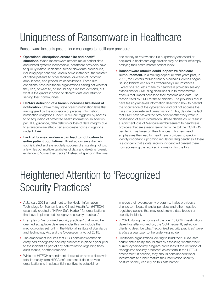## Uniqueness of Ransomware in Healthcare

Ransomware incidents pose unique challenges to healthcare providers:

- Operational disruptions create "life and death" situations. When ransomware attacks make patient data and related systems inaccessible, healthcare providers have to quickly initiate unplanned, forced downtime procedures, including paper charting, and in some instances, the transfer of critical patients to other facilities, diversion of incoming ambulances, and procedure cancellations. These dire conditions leave healthcare organizations asking not whether they can, or want to, or should pay a ransom demand, but what is the quickest option to decrypt data and return to serving their communities.
- HIPAA's definition of a breach increases likelihood of notification. Unlike many state breach notification laws that are triggered by the acquisition of personal information, notification obligations under HIPAA are triggered by access to or acquisition of protected health information. In addition, per HHS guidance, data deletion or loss of data integrity due to a ransomware attack can also create notice obligations under HIPAA.
- Lack of forensic evidence can lead to notification to entire patient populations. Threat actors are extremely sophisticated and are regularly successful at stealing not just a few files but multiple terabytes of data and deleting forensic evidence to "cover their tracks." Instead of spending the time

and money to review each file purportedly accessed or acquired, a healthcare organization may be better off simply notifying their entire master patient index.

• Ransomware attacks could jeopardize Medicare reimbursement. In a striking departure from years past, in 2021, the Centers for Medicare & Medicaid Services began issuing blanket denials to Extraordinary Circumstances Exceptions requests made by healthcare providers seeking extensions for CMS filing deadlines due to ransomware attacks that limited access to their systems and data. The reason cited by CMS for these denials? The providers "could have feasibly received information describing how to prevent the occurrence of the cyberattack and did not address the risks in a complete and timely fashion." This, despite the fact that CMS never asked the providers whether they were in possession of such information. These denials could result in a significant loss of Medicare reimbursement to healthcare providers that are already reeling from the toll the COVID-19 pandemic has taken on their finances. This new trend emphasizes the need for healthcare providers to quickly identify important, upcoming regulatory filing deadlines if there is a concern that a data security incident will prevent them from accessing the required information for the filing.

## Heightened Attention to 'Recognized Security Practices'

- A January 2021 amendment to the Health Information Technology for Economic and Clinical Health Act (HITECH) essentially created a "HIPAA Safe Harbor" for organizations that have implemented "recognized security practices."
- Examples of "recognized security practices" that would be deemed acceptable defenses under this law include the methodologies set forth in the National Institute of Standards and Technology Act and the Cybersecurity Act of 2015.
- The amendment requires that OCR consider whether an entity had "recognized security practices" in place a year prior to the incident as part of any determination regarding fines, audit results, or other remedies.
- While the HITECH amendment does not provide entities with total immunity from HIPAA enforcement, it does provide organizations with substantial incentives to establish or

improve their cybersecurity programs. It also provides a chance to mitigate financial penalties and other negative regulatory actions that may result from a data breach or security incident.

- In 2021, during the course of the over 40 OCR investigations BakerHostetler worked on, the OCR frequently asked our clients to describe what "recognized security practices" *were in place a year prior* to the underlying incident.
- Healthcare organizations looking to build their HIPAA-safe harbor defensibility should start by assessing whether their current cybersecurity program/processes fit the definition of "recognized security practices" as set forth in the HITECH amendment. If needed, they should consider additional investments to further mature their information security posture so they can rely on this safe harbor.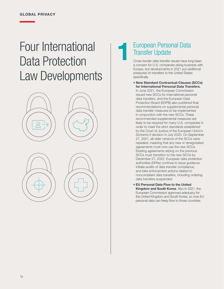## Four International Data Protection Law Developments





### European Personal Data Transfer Update  $\begin{array}{c} \begin{array}{c} \text{E1} \\ \text{Tr} \\ \text{Gr} \end{array} \end{array}$

Cross-border data transfer issues have long been a concern for U.S. companies doing business with Europe, but developments in 2021 put additional pressures on transfers to the United States specifically.

- New Standard Contractual Clauses (SCCs) for International Personal Data Transfers. In June 2021, the European Commission issued new SCCs for international personal data transfers, and the European Data Protection Board (EDPB) also published final recommendations on supplemental personal data transfer measures to be implemented in conjunction with the new SCCs. These recommended supplemental measures are likely to be required for many U.S. companies in order to meet the strict standards established by the Court of Justice of the European Union's *Schrems II* decision in July 2020. On September 27, 2021, all older versions of the SCCs were repealed, meaning that any new or renegotiated agreements must now use the new SCCs. Existing agreements relying on the previous SCCs must transition to the new SCCs by December 27, 2022. European data protection authorities (DPAs) continue to issue guidance, initiate audits of data transfer compliance, and take enforcement actions related to noncompliant data transfers, including ordering data transfers suspended.
- EU Personal Data Flow to the United Kingdom and South Korea. Also in 2021, the European Commission approved adequacy for the United Kingdom and South Korea, so now EU personal data can freely flow to those countries.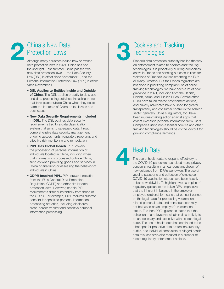### China's New Data Protection Laws  $2<sup>c</sup>$

Although many countries issued new or revised data protection laws in 2021, China has had the spotlight. Last summer, China passed two new data protection laws — the Data Security Law (DSL) in effect since September 1, and the Personal Information Protection Law (PIPL) in effect since November 1.

- DSL Applies to Entities Inside and Outside of China. The DSL applies broadly to data use and data processing activities, including those that take place outside China when they could harm the interests of China or its citizens and businesses.
- New Data Security Requirements Included in **DSL.** The DSL outlines data security requirements tied to a data classification system that aims to safeguard data through comprehensive data security management, ongoing assessments, regulatory reporting, and effective risk monitoring and remediation.
- PIPL Has Global Reach. PIPL covers the processing of personal information of individuals located in China, including when that information is processed outside China, such as when providing goods and services in China or analyzing or assessing the behavior of individuals in China.
- GDPR Inspired PIPL. PIPL draws inspiration from the EU's General Data Protection Regulation (GDPR) and other similar data protection laws. However, certain PIPL requirements differ substantially from those of the GDPR. For example, PIPL requires discrete consent for specified personal information processing activities, including disclosure, cross-border transfer and sensitive personal information processing.

### Cookies and Tracking **Technologies 3** Te

France's data protection authority has led the way on enforcement related to cookies and tracking technologies. It is proactively auditing companies active in France and handing out serious fines for violations of France's law implementing the EU's ePrivacy Directive. But the French regulators are not alone in prioritizing compliant use of online tracking technologies; we have seen a lot of new guidance in 2021, including from the Danish, Finnish, Italian, and Turkish DPAs. Several other DPAs have taken related enforcement actions, and privacy advocates have pushed for greater transparency and consumer control in the AdTech sector generally. China's regulators, too, have been routinely taking action against apps that collect excessive personal information from users. Companies using non-essential cookies and other tracking technologies should be on the lookout for growing compliance demands.



### Health Data

The use of health data to respond effectively to the COVID-19 pandemic has raised many privacy concerns, resulting in a near-constant stream of new guidance from DPAs worldwide. The use of vaccine passports and collection of employee COVID-19 vaccination status have been heavily debated worldwide. To highlight two examples of regulatory guidance: the Italian DPA emphasized that the inherent imbalance in the employeremployee relationship means that consent cannot be the legal basis for processing vaccinationrelated personal data, and consequences may not be based on an employee's vaccination status. The Irish DPA's guidance states that the collection of employee vaccination data is likely to be unnecessary and excessive with no clear legal basis. The use of health data has continued to be a hot spot for proactive data protection authority audits, and individual complaints of alleged health data misuses have also resulted in a number of recent regulatory enforcement actions.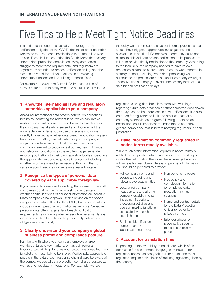## Five Tips to Help Meet Tight Notice Deadlines

In addition to the often-discussed 72-hour regulatory notification obligation of the GDPR, dozens of other countries worldwide require breach notifications to be made in a week or less. These include countries like South Korea that actively enforce data protection compliance. Many companies struggle to meet these requirements, and regulators are paying more attention to breach notification timing, and the reasons provided for delayed notices, in considering enforcement actions and calculating potential fines.

For example, in 2021, the Dutch DPA imposed a fine of €475,000 for failure to notify within 72 hours. The DPA found

the delay was in part due to a lack of internal processes that should have triggered appropriate investigations and escalations. In an Irish DPA decision, a company could not blame its delayed data breach notification on its processor's failure to provide timely notification to the company. According to the Irish DPA, the company needed to have its own processes in place to ensure data breaches were reported in a timely manner, including when data processing was outsourced, as processors remain under company oversight. These five tips can help you avoid unnecessary international data breach notification delays.

#### 1. Know the international laws and regulatory authorities applicable to your company.

Analyzing international data breach notification obligations begins by identifying the relevant laws, which can involve multiple conversations with various business stakeholders. If a company has already assessed and documented the applicable foreign laws, it can use this analysis to move directly to evaluating whether data breach notification triggers have been met. Also, evaluate whether your company is subject to sector-specific obligations, such as those commonly relevant to critical infrastructure, health, finance, and telecommunications, as these often trigger separate reporting obligations to their own regulatory bodies. Identifying the appropriate laws and regulators in advance, including whether you have a lead supervisory authority in the EU, can give your breach response team a real advantage.

#### 2. Recognize the types of personal data covered by each applicable foreign law.

If you have a data map and inventory, that's great! But not all companies do. At a minimum, you should understand whether particular types of personal information are sensitive. Many companies have grown used to relying on the special categories of data outlined in the GDPR, but other countries include different personal information as sensitive. Sensitive personal data often triggers data breach notification requirements, so knowing whether sensitive personal data is included in a data breach can help to identify notification obligations more quickly.

#### 3. Clearly understand your company's global business profile and compliance posture.

Familiarity with where your company employs a large workforce, targets key markets, or has built regional headquarters will help to focus your breach response team on jurisdictions most likely to be in play. Additionally, appropriate people in the data breach response chain should be aware of the company's overall data protection compliance posture as well as prior regulatory interactions. For example, we see

regulators closing data breach matters with warnings regarding future data breaches or other perceived deficiencies that may need to be addressed in new notifications. It is also common for regulators to look into other aspects of a company's compliance program following a data breach notification, so it is important to understand a company's general compliance status before notifying regulators in each jurisdiction.

#### 4. Have information commonly requested in notice forms readily available.

While much of the information required in notice forms is related to the specific data breach, notice may be delayed while other information that could have been gathered in advance is tracked down. Here is a quick list of information you should be prepared to provide:

- Full company name and address, including any relevant overseas entities
- Location of company headquarters and all other company establishments (including, if possible, processing activities and decision-making functions associated with each establishment)
- Business identification numbers or tax identification numbers

#### 5. Account for translation time.

Depending on the availability of translators, which often decreases for less common languages, translation for regulatory notice can easily take 24-48 hours, and most regulators require notice in an official language recognized by the country.

for employee data protection training sessions

completion information

• Number of employees

• Frequency and

- Name and contact details for the Data Protection Officer (or other key privacy contact)
- Brief description of preventative security measures currently in place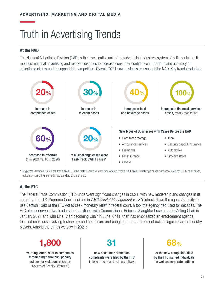## Truth in Advertising Trends

#### At the NAD

The National Advertising Division (NAD) is the investigative unit of the advertising industry's system of self-regulation. It monitors national advertising and resolves disputes to increase consumer confidence in the truth and accuracy of advertising claims and to support fair competition. Overall, 2021 saw business as usual at the NAD. Key trends included:



\* Single Well-Defined Issue Fast Track (SWIFT) is the fastest route to resolution offered by the NAD. SWIFT challenge cases only accounted for 6.5% of all cases, including monitoring, compliance, standard and complex.

### At the FTC

The Federal Trade Commission (FTC) underwent significant changes in 2021, with new leadership and changes in its authority. The U.S. Supreme Court decision in *AMG Capital Management vs. FTC* struck down the agency's ability to use Section 13(b) of the FTC Act to seek monetary relief in federal court, a tool the agency had used for decades. The FTC also underwent two leadership transitions, with Commissioner Rebecca Slaughter becoming the Acting Chair in January 2021 and with Lina Khan becoming Chair in June. Chair Khan has emphasized an enforcement agenda focused on issues involving technology and healthcare and bringing more enforcement actions against larger industry players. Among the things we saw in 2021:



actions for violations (includes "Notices of Penalty Offenses")

new consumer protection complaints were filed by the FTC (in federal court and administratively)



of the new complaints filed by the FTC named individuals as well as corporate entities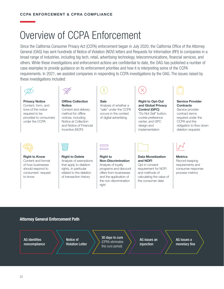## Overview of CCPA Enforcement

Since the California Consumer Privacy Act (CCPA) enforcement began in July 2020, the California Office of the Attorney General (OAG) has sent hundreds of Notice of Violation (NOV) letters and Requests for Information (RFI) to companies in a broad range of industries, including big tech, retail, advertising technology, telecommunications, financial services, and others. While these investigations and enforcement actions are confidential to date, the OAG has published a number of case examples to provide guidance on its enforcement priorities and how it is interpreting some of the CCPA requirements. In 2021, we assisted companies in responding to CCPA investigations by the OAG. The issues raised by these investigations included:

Privacy Notice Content, form, and tone of the notice required to be provided to consumers under the CCPA



Offline Collection **Notice** Content and delivery method for offline notices, including Notice at Collection and Notice of Financial Incentive (NOFI)



Sale Analysis of whether a "sale" under the CCPA occurs in the context of digital advertising



#### Right to Opt-Out and Global Privacy Control (GPC) "Do Not Sell" button, cookie preference center, and GPC design and



Service Provider **Contracts** Service provider contract terms required under the CCPA and the obligation to flow down deletion requests



Right to Know Content and format of how businesses should respond to consumers' request to know



Right to Delete Analysis of exemptions that apply to deletion rights, in particular related to the deletion of transaction history



Right to Non-Discrimination Analysis of loyalty programs and discount offers from businesses and the application of the non-discrimination right



implementation

Data Monetization and NOFI Opt-in consent requirement for NOFI and methods of calculating the value of

the consumer data



**Metrics** Record-keeping requirements and consumer response process metrics

#### Attorney General Enforcement Path

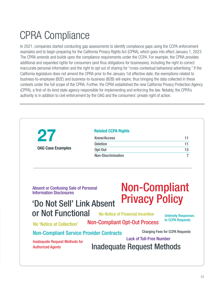## CPRA Compliance

In 2021, companies started conducting gap assessments to identify compliance gaps using the CCPA enforcement examples and to begin preparing for the California Privacy Rights Act (CPRA), which goes into effect January 1, 2023. The CPRA amends and builds upon the compliance requirements under the CCPA. For example, the CPRA provides additional and expanded rights for consumers (and thus obligations for businesses), including the right to correct inaccurate personal information and the right to opt out of sharing for "cross-contextual behavioral advertising." If the California legislature does not amend the CPRA prior to the January 1st effective date, the exemptions related to business-to-employee (B2E) and business-to-business (B2B) will expire, thus bringing the data collected in these contexts under the full scope of the CPRA. Further, the CPRA established the new California Privacy Protection Agency (CPPA), a first-of-its-kind state agency responsible for implementing and enforcing the law. Notably, the CPPA's authority is in addition to civil enforcement by the OAG and the consumers' private right of action.

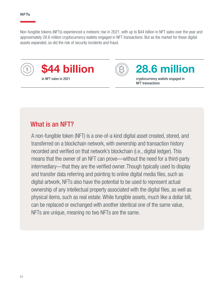Non-fungible tokens (NFTs) experienced a meteoric rise in 2021, with up to \$44 billion in NFT sales over the year and approximately 28.6 million cryptocurrency wallets engaged in NFT transactions. But as the market for these digital assets expanded, so did the risk of security incidents and fraud.





### 44 billion (B) 28.6 million

NFT transactions

### What is an NFT?

A non-fungible token (NFT) is a one-of-a kind digital asset created, stored, and transferred on a blockchain network, with ownership and transaction history recorded and verified on that network's blockchain (i.e., digital ledger). This means that the owner of an NFT can prove—without the need for a third-party intermediary—that they are the verified owner. Though typically used to display and transfer data referring and pointing to online digital media files, such as digital artwork, NFTs also have the potential to be used to represent actual ownership of any intellectual property associated with the digital files, as well as physical items, such as real estate. While fungible assets, much like a dollar bill, can be replaced or exchanged with another identical one of the same value, NFTs are unique, meaning no two NFTs are the same.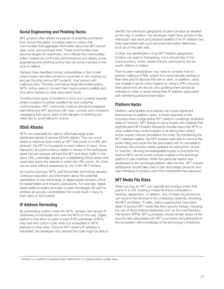#### Social Engineering and Phishing Hacks

NFT projects often attract thousands of potential purchasers from around the globe, funneling users to online chat communities that aggregate information about the NFT launch date, price, and purchase links. These communities have become targets for scammers, who infiltrate the communities (often masked as community administrators) and deploy social engineering and phishing tactics that can enrich hackers to the tune of millions.

Hackers have identified intrinsic vulnerabilities in this model where buyers are often primed to move fast or risk missing out, and are flooding various NFT projects' chat servers with malicious links. The links, promising things like limited edition NFTs, entice users to connect their cryptocurrency wallets and thus allow hackers to steal associated funds.

Avoiding these types of incidents is tricky and currently requires project curators to exhibit excellent fan and customer communication. NFT community curators should be prepared well before any NFT launches with clear, concise, and consistent messaging that warns users of the dangers of phishing and offers tips to avoid falling for scams.

#### DDoS Attacks

NFTs can potentially be used to effectuate large-scale distributed denial-of-service (DDoS) attacks. This can occur where a malicious actor mints an NFT that points to a URL and airdrops\* the NFT to thousands or even millions of users. Once deployed, all cryptocurrency wallets in receipt of the airdropped asset that are opened will load the NFT and direct traffic to the same URL, potentially resulting in a debilitating DDoS attack that could take down the website to which the URL points. All of this can be done without awareness by any of the NFT holders.

As cryptocurrencies, NFTs, and blockchain technology develop, continued education and information about the potential exploitation of new technology or digital assets remains critical for stakeholders and industry participants. For example, digital asset wallet providers and peer-to-peer exchanges will want to address all security vulnerabilities that could result in injury to their users or third parties.

#### IP Address Harvesting

By embedding custom code into NFTs, hackers can harvest IP addresses of individuals who view the NFTs on the web. Digital platforms that allow for peer-to-peer (P2P) exchange of NFTs may load this custom code when it is embedded in NFTs featured on their sites. Once an NFT-viewer's IP address is harvested, the developer who planted the code might be able to identify the individual's geographic location (at least as detailed as the city). In addition, the developer might have access to the individual's real name and physical address if the IP address has been associated with such personal information elsewhere, such as on the dark web.

Further, the identification of an NFT-holder's geographic location can lead to kidnapping, not a remote fear in the cryptocurrency world, where industry participants can be worth millions of dollars.

Peer-to-peer marketplaces may need to consider how to prevent malicious HTML scripts from automatically loading on their sites and to disclose this risk to users. In addition, users can engage in good online hygiene by using a VPN, ensuring their passwords are secure, and updating them across all websites in order to avoid having their IP address associated with identifying personal information.

#### Platform Hacks

Platform vulnerabilities and exploits can cause significant financial loss to platform users. A recent example of this occurred when a large global NFT platform unwittingly facilitated sales of "inactive" NFT listings to savvy buyers who realized that sophisticated NFT-holders frequently transfer blue-chip NFTs to other wallets they control instead of de-listing them (which would require manual cancellation for a fee). By transferring the NFT between wallets, the NFT-holders were able to remove the public listing and avoid the fee associated with its cancellation. However, this process merely updated the listing from "active" to "inactive," allowing knowledgeable buyers to purchase the inactive NFTs via the smart contract instead of the exchange platform's user interface. While this particular exploit was addressed by the exchange platform after the fact, NFT industry participants should take care to plan and design products and user interfaces to protect users from inadvertent risk exposure.

#### NFT Media File Risks

When you buy an NFT, you typically are buying a token that points to a URL hosting a media file that is vulnerable to hacking, deprecation, or deletion. Any of these circumstances can result in the removal of the underlying media file, rendering the NFT worthless. To date, various approaches have been taken to protect NFT media files from security threats, including the use of decentralized databases such as the InterPlanetary File System (IPFS). NFT purchasers should remain aware of the security risks associated with NFT purchases and participate in the ecosystem with knowledge of the technology's limitations.

\* Airdrop is a method of passive token distribution to cryptocurrency public keys.